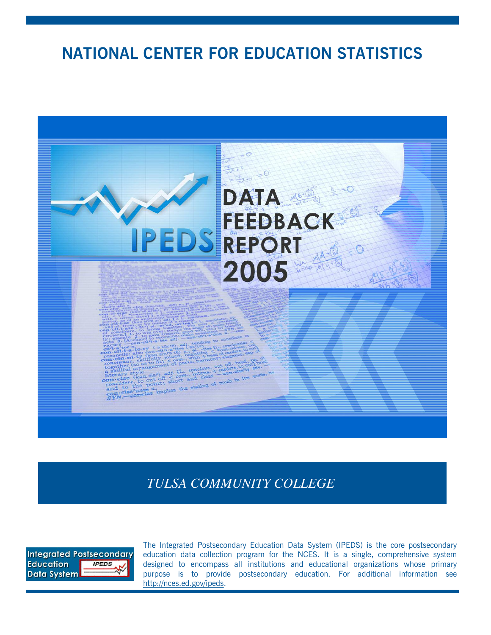# **NATIONAL CENTER FOR EDUCATION STATISTICS**



*TULSA COMMUNITY COLLEGE*



The Integrated Postsecondary Education Data System (IPEDS) is the core postsecondary education data collection program for the NCES. It is a single, comprehensive system designed to encompass all institutions and educational organizations whose primary purpose is to provide postsecondary education. For additional information see http://nces.ed.gov/ipeds.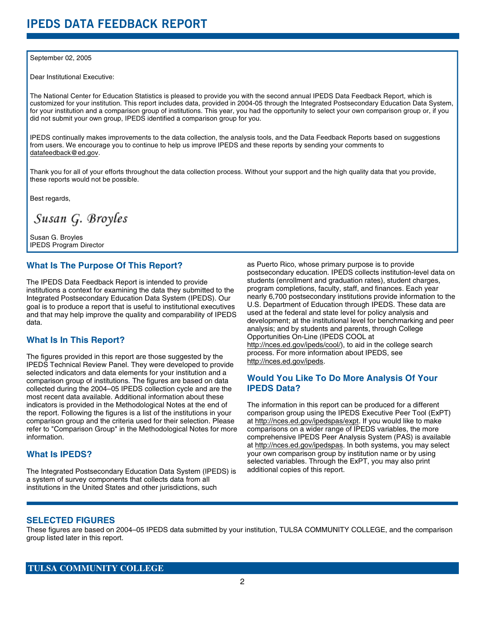#### September 02, 2005

Dear Institutional Executive:

The National Center for Education Statistics is pleased to provide you with the second annual IPEDS Data Feedback Report, which is customized for your institution. This report includes data, provided in 2004-05 through the Integrated Postsecondary Education Data System, for your institution and a comparison group of institutions. This year, you had the opportunity to select your own comparison group or, if you did not submit your own group, IPEDS identified a comparison group for you.

IPEDS continually makes improvements to the data collection, the analysis tools, and the Data Feedback Reports based on suggestions from users. We encourage you to continue to help us improve IPEDS and these reports by sending your comments to datafeedback@ed.gov.

Thank you for all of your efforts throughout the data collection process. Without your support and the high quality data that you provide, these reports would not be possible.

Best regards,

Susan G. Broyles

Susan G. Broyles IPEDS Program Director

### **What Is The Purpose Of This Report?**

The IPEDS Data Feedback Report is intended to provide institutions a context for examining the data they submitted to the Integrated Postsecondary Education Data System (IPEDS). Our goal is to produce a report that is useful to institutional executives and that may help improve the quality and comparability of IPEDS data.

# **What Is In This Report?**

The figures provided in this report are those suggested by the IPEDS Technical Review Panel. They were developed to provide selected indicators and data elements for your institution and a comparison group of institutions. The figures are based on data collected during the 2004–05 IPEDS collection cycle and are the most recent data available. Additional information about these indicators is provided in the Methodological Notes at the end of the report. Following the figures is a list of the institutions in your comparison group and the criteria used for their selection. Please refer to "Comparison Group" in the Methodological Notes for more information.

## **What Is IPEDS?**

The Integrated Postsecondary Education Data System (IPEDS) is a system of survey components that collects data from all institutions in the United States and other jurisdictions, such

as Puerto Rico, whose primary purpose is to provide postsecondary education. IPEDS collects institution-level data on students (enrollment and graduation rates), student charges, program completions, faculty, staff, and finances. Each year nearly 6,700 postsecondary institutions provide information to the U.S. Department of Education through IPEDS. These data are used at the federal and state level for policy analysis and development; at the institutional level for benchmarking and peer analysis; and by students and parents, through College Opportunities On-Line (IPEDS COOL at http://nces.ed.gov/ipeds/cool/), to aid in the college search process. For more information about IPEDS, see http://nces.ed.gov/ipeds.

# **Would You Like To Do More Analysis Of Your IPEDS Data?**

The information in this report can be produced for a different comparison group using the IPEDS Executive Peer Tool (ExPT) at http://nces.ed.gov/ipedspas/expt. If you would like to make comparisons on a wider range of IPEDS variables, the more comprehensive IPEDS Peer Analysis System (PAS) is available at http://nces.ed.gov/ipedspas. In both systems, you may select your own comparison group by institution name or by using selected variables. Through the ExPT, you may also print additional copies of this report.

### **SELECTED FIGURES**

These figures are based on 2004–05 IPEDS data submitted by your institution, TULSA COMMUNITY COLLEGE, and the comparison group listed later in this report.

## **TULSA COMMUNITY COLLEGE**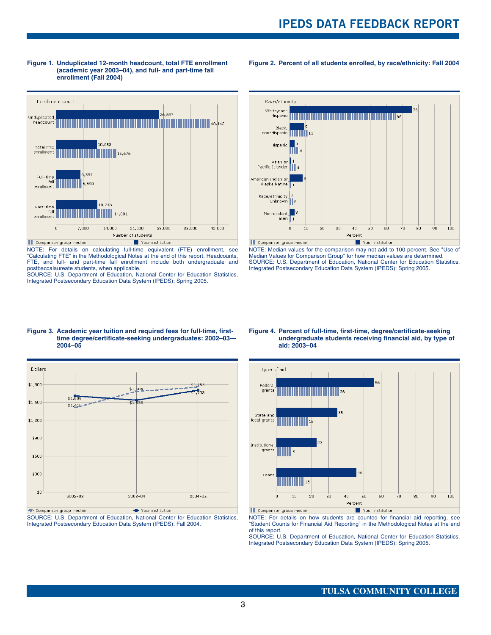

**Figure 1. Unduplicated 12-month headcount, total FTE enrollment (academic year 2003–04), and full- and part-time fall enrollment (Fall 2004)**

**Figure 2. Percent of all students enrolled, by race/ethnicity: Fall 2004**



NOTE: For details on calculating full-time equivalent (FTE) enrollment, see "Calculating FTE" in the Methodological Notes at the end of this report. Headcounts, FTE, and full- and part-time fall enrollment include both undergraduate and NOTE: Median values for the comparison may not add to 100 percent. See "Use of Median Values for Comparison Group" for how median values are determined. SOURCE: U.S. Department of Education, National Center for Education Statistics, Integrated Postsecondary Education Data System (IPEDS): Spring 2005.

postbaccalaureate students, when applicable. SOURCE: U.S. Department of Education, National Center for Education Statistics, Integrated Postsecondary Education Data System (IPEDS): Spring 2005.





SOURCE: U.S. Department of Education, National Center for Education Statistics, Integrated Postsecondary Education Data System (IPEDS): Fall 2004.

#### **Figure 4. Percent of full-time, first-time, degree/certificate-seeking undergraduate students receiving financial aid, by type of aid: 2003–04**



NOTE: For details on how students are counted for financial aid reporting, see "Student Counts for Financial Aid Reporting" in the Methodological Notes at the end of this report.

SOURCE: U.S. Department of Education, National Center for Education Statistics, Integrated Postsecondary Education Data System (IPEDS): Spring 2005.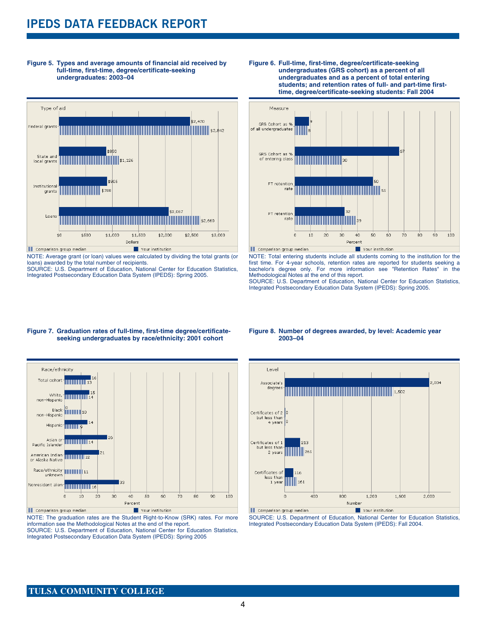# **IPEDS DATA FEEDBACK REPORT**

**Figure 5. Types and average amounts of financial aid received by full-time, first-time, degree/certificate-seeking undergraduates: 2003–04**



NOTE: Average grant (or loan) values were calculated by dividing the total grants (or loans) awarded by the total number of recipients.

SOURCE: U.S. Department of Education, National Center for Education Statistics, Integrated Postsecondary Education Data System (IPEDS): Spring 2005.





NOTE: Total entering students include all students coming to the institution for the first time. For 4-year schools, retention rates are reported for students seeking a bachelor's degree only. For more information see "Retention Rates" in the Methodological Notes at the end of this report.

SOURCE: U.S. Department of Education, National Center for Education Statistics, Integrated Postsecondary Education Data System (IPEDS): Spring 2005.

#### **Figure 7. Graduation rates of full-time, first-time degree/certificateseeking undergraduates by race/ethnicity: 2001 cohort**



NOTE: The graduation rates are the Student Right-to-Know (SRK) rates. For more information see the Methodological Notes at the end of the report.

SOURCE: U.S. Department of Education, National Center for Education Statistics, Integrated Postsecondary Education Data System (IPEDS): Spring 2005

#### **Figure 8. Number of degrees awarded, by level: Academic year 2003–04**



SOURCE: U.S. Department of Education, National Center for Education Statistics, Integrated Postsecondary Education Data System (IPEDS): Fall 2004.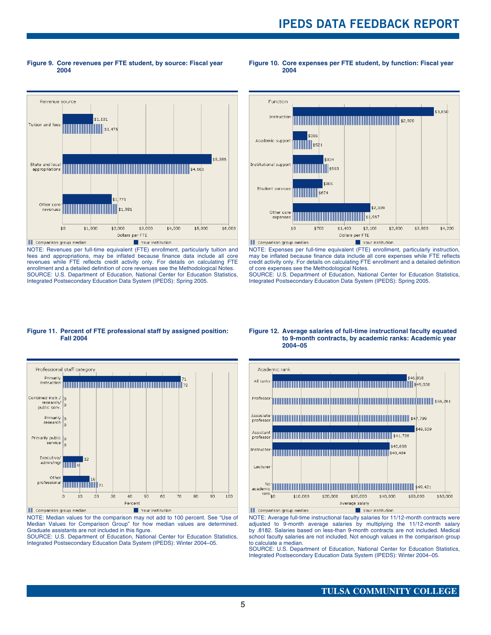**Figure 9. Core revenues per FTE student, by source: Fiscal year 2004**

#### **Figure 10. Core expenses per FTE student, by function: Fiscal year 2004**



NOTE: Revenues per full-time equivalent (FTE) enrollment, particularly tuition and fees and appropriations, may be inflated because finance data include all core revenues while FTE reflects credit activity only. For details on calculating FTE enrollment and a detailed definition of core revenues see the Methodological Notes. SOURCE: U.S. Department of Education, National Center for Education Statistics, Integrated Postsecondary Education Data System (IPEDS): Spring 2005.



NOTE: Expenses per full-time equivalent (FTE) enrollment, particularly instruction, may be inflated because finance data include all core expenses while FTE reflects credit activity only. For details on calculating FTE enrollment and a detailed definition of core expenses see the Methodological Notes.

SOURCE: U.S. Department of Education, National Center for Education Statistics, Integrated Postsecondary Education Data System (IPEDS): Spring 2005.

#### **Figure 11. Percent of FTE professional staff by assigned position: Fall 2004**



NOTE: Median values for the comparison may not add to 100 percent. See "Use of Median Values for Comparison Group" for how median values are determined. Graduate assistants are not included in this figure.

SOURCE: U.S. Department of Education, National Center for Education Statistics, Integrated Postsecondary Education Data System (IPEDS): Winter 2004–05.

#### **Figure 12. Average salaries of full-time instructional faculty equated to 9-month contracts, by academic ranks: Academic year 2004–05**



NOTE: Average full-time instructional faculty salaries for 11/12-month contracts were adjusted to 9-month average salaries by multiplying the 11/12-month salary by .8182. Salaries based on less-than 9-month contracts are not included. Medical school faculty salaries are not included. Not enough values in the comparison group to calculate a median.

SOURCE: U.S. Department of Education, National Center for Education Statistics. Integrated Postsecondary Education Data System (IPEDS): Winter 2004–05.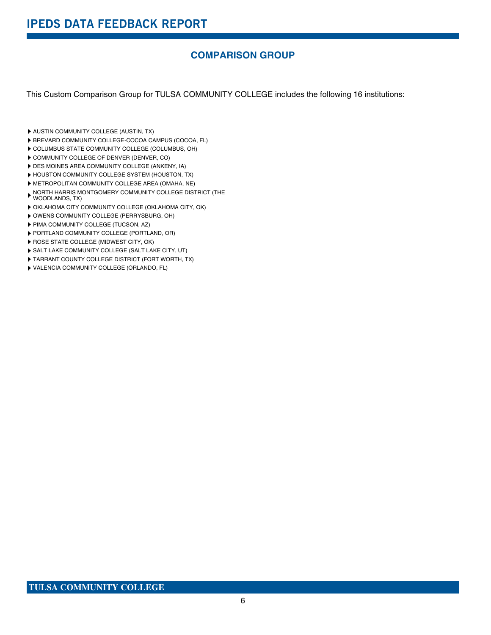# **COMPARISON GROUP**

This Custom Comparison Group for TULSA COMMUNITY COLLEGE includes the following 16 institutions:

- **AUSTIN COMMUNITY COLLEGE (AUSTIN, TX)**
- BREVARD COMMUNITY COLLEGE-COCOA CAMPUS (COCOA, FL)
- COLUMBUS STATE COMMUNITY COLLEGE (COLUMBUS, OH)
- COMMUNITY COLLEGE OF DENVER (DENVER, CO)
- DES MOINES AREA COMMUNITY COLLEGE (ANKENY, IA)
- HOUSTON COMMUNITY COLLEGE SYSTEM (HOUSTON, TX)
- METROPOLITAN COMMUNITY COLLEGE AREA (OMAHA, NE)
- NORTH HARRIS MONTGOMERY COMMUNITY COLLEGE DISTRICT (THE WOODLANDS, TX)
- OKLAHOMA CITY COMMUNITY COLLEGE (OKLAHOMA CITY, OK)
- OWENS COMMUNITY COLLEGE (PERRYSBURG, OH)
- PIMA COMMUNITY COLLEGE (TUCSON, AZ)
- PORTLAND COMMUNITY COLLEGE (PORTLAND, OR)
- **ROSE STATE COLLEGE (MIDWEST CITY, OK)**
- SALT LAKE COMMUNITY COLLEGE (SALT LAKE CITY, UT)
- TARRANT COUNTY COLLEGE DISTRICT (FORT WORTH, TX)
- VALENCIA COMMUNITY COLLEGE (ORLANDO, FL)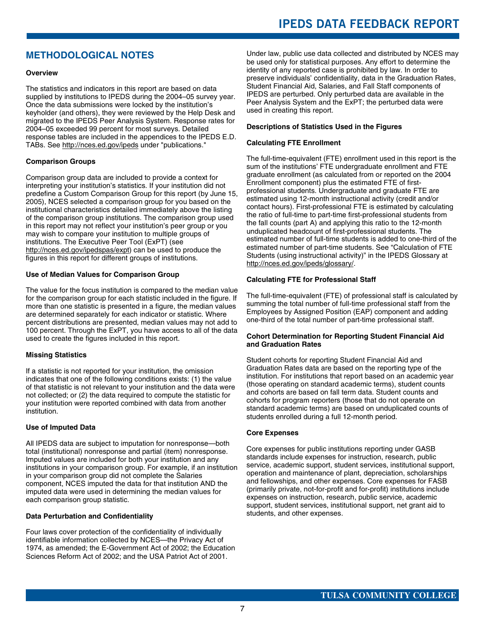# **IPEDS DATA FEEDBACK REPORT**

# **METHODOLOGICAL NOTES**

#### **Overview**

The statistics and indicators in this report are based on data supplied by institutions to IPEDS during the 2004–05 survey year. Once the data submissions were locked by the institution's keyholder (and others), they were reviewed by the Help Desk and migrated to the IPEDS Peer Analysis System. Response rates for 2004–05 exceeded 99 percent for most surveys. Detailed response tables are included in the appendices to the IPEDS E.D. TABs. See http://nces.ed.gov/ipeds under "publications."

#### **Comparison Groups**

Comparison group data are included to provide a context for interpreting your institution's statistics. If your institution did not predefine a Custom Comparison Group for this report (by June 15, 2005), NCES selected a comparison group for you based on the institutional characteristics detailed immediately above the listing of the comparison group institutions. The comparison group used in this report may not reflect your institution's peer group or you may wish to compare your institution to multiple groups of institutions. The Executive Peer Tool (ExPT) (see http://nces.ed.gov/ipedspas/expt) can be used to produce the figures in this report for different groups of institutions.

#### **Use of Median Values for Comparison Group**

The value for the focus institution is compared to the median value for the comparison group for each statistic included in the figure. If more than one statistic is presented in a figure, the median values are determined separately for each indicator or statistic. Where percent distributions are presented, median values may not add to 100 percent. Through the ExPT, you have access to all of the data used to create the figures included in this report.

#### **Missing Statistics**

If a statistic is not reported for your institution, the omission indicates that one of the following conditions exists: (1) the value of that statistic is not relevant to your institution and the data were not collected; or (2) the data required to compute the statistic for your institution were reported combined with data from another institution.

#### **Use of Imputed Data**

All IPEDS data are subject to imputation for nonresponse—both total (institutional) nonresponse and partial (item) nonresponse. Imputed values are included for both your institution and any institutions in your comparison group. For example, if an institution in your comparison group did not complete the Salaries component, NCES imputed the data for that institution AND the imputed data were used in determining the median values for each comparison group statistic.

#### **Data Perturbation and Confidentiality**

Four laws cover protection of the confidentiality of individually identifiable information collected by NCES—the Privacy Act of 1974, as amended; the E-Government Act of 2002; the Education Sciences Reform Act of 2002; and the USA Patriot Act of 2001.

Under law, public use data collected and distributed by NCES may be used only for statistical purposes. Any effort to determine the identity of any reported case is prohibited by law. In order to preserve individuals' confidentiality, data in the Graduation Rates, Student Financial Aid, Salaries, and Fall Staff components of IPEDS are perturbed. Only perturbed data are available in the Peer Analysis System and the ExPT; the perturbed data were used in creating this report.

#### **Descriptions of Statistics Used in the Figures**

#### **Calculating FTE Enrollment**

The full-time-equivalent (FTE) enrollment used in this report is the sum of the institutions' FTE undergraduate enrollment and FTE graduate enrollment (as calculated from or reported on the 2004 Enrollment component) plus the estimated FTE of firstprofessional students. Undergraduate and graduate FTE are estimated using 12-month instructional activity (credit and/or contact hours). First-professional FTE is estimated by calculating the ratio of full-time to part-time first-professional students from the fall counts (part A) and applying this ratio to the 12-month unduplicated headcount of first-professional students. The estimated number of full-time students is added to one-third of the estimated number of part-time students. See "Calculation of FTE Students (using instructional activity)" in the IPEDS Glossary at http://nces.ed.gov/ipeds/glossary/.

#### **Calculating FTE for Professional Staff**

The full-time-equivalent (FTE) of professional staff is calculated by summing the total number of full-time professional staff from the Employees by Assigned Position (EAP) component and adding one-third of the total number of part-time professional staff.

#### **Cohort Determination for Reporting Student Financial Aid and Graduation Rates**

Student cohorts for reporting Student Financial Aid and Graduation Rates data are based on the reporting type of the institution. For institutions that report based on an academic year (those operating on standard academic terms), student counts and cohorts are based on fall term data. Student counts and cohorts for program reporters (those that do not operate on standard academic terms) are based on unduplicated counts of students enrolled during a full 12-month period.

#### **Core Expenses**

Core expenses for public institutions reporting under GASB standards include expenses for instruction, research, public service, academic support, student services, institutional support, operation and maintenance of plant, depreciation, scholarships and fellowships, and other expenses. Core expenses for FASB (primarily private, not-for-profit and for-profit) institutions include expenses on instruction, research, public service, academic support, student services, institutional support, net grant aid to students, and other expenses.